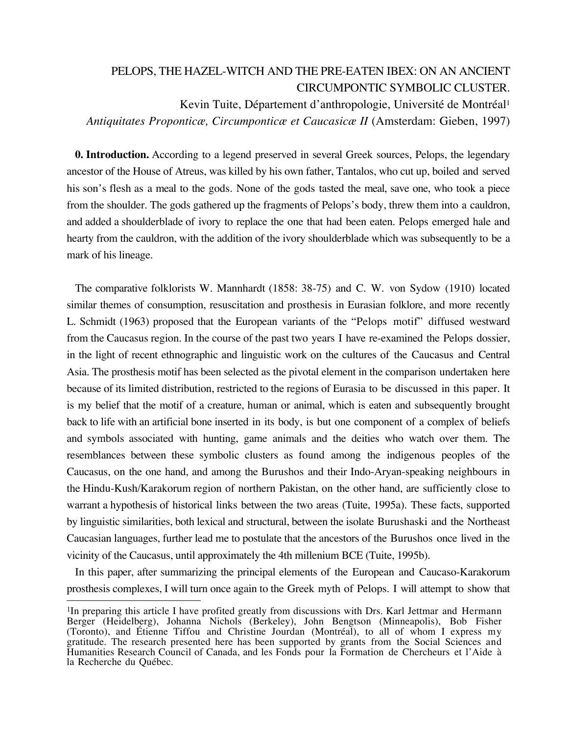# PELOPS, THE HAZEL-WITCH AND THE PRE-EATEN IBEX: ON AN ANCIENT CIRCUMPONTIC SYMBOLIC CLUSTER.

Kevin Tuite, Département d'anthropologie, Université de Montréal1 *Antiquitates Proponticæ, Circumponticæ et Caucasicæ II* (Amsterdam: Gieben, 1997)

**0. Introduction.** According to a legend preserved in several Greek sources, Pelops, the legendary ancestor of the House of Atreus, was killed by his own father, Tantalos, who cut up, boiled and served his son's flesh as a meal to the gods. None of the gods tasted the meal, save one, who took a piece from the shoulder. The gods gathered up the fragments of Pelops's body, threw them into a cauldron, and added a shoulderblade of ivory to replace the one that had been eaten. Pelops emerged hale and hearty from the cauldron, with the addition of the ivory shoulderblade which was subsequently to be a mark of his lineage.

The comparative folklorists W. Mannhardt (1858: 38-75) and C. W. von Sydow (1910) located similar themes of consumption, resuscitation and prosthesis in Eurasian folklore, and more recently L. Schmidt (1963) proposed that the European variants of the "Pelops motif" diffused westward from the Caucasus region. In the course of the past two years I have re-examined the Pelops dossier, in the light of recent ethnographic and linguistic work on the cultures of the Caucasus and Central Asia. The prosthesis motif has been selected as the pivotal element in the comparison undertaken here because of its limited distribution, restricted to the regions of Eurasia to be discussed in this paper. It is my belief that the motif of a creature, human or animal, which is eaten and subsequently brought back to life with an artificial bone inserted in its body, is but one component of a complex of beliefs and symbols associated with hunting, game animals and the deities who watch over them. The resemblances between these symbolic clusters as found among the indigenous peoples of the Caucasus, on the one hand, and among the Burushos and their Indo-Aryan-speaking neighbours in the Hindu-Kush/Karakorum region of northern Pakistan, on the other hand, are sufficiently close to warrant a hypothesis of historical links between the two areas (Tuite, 1995a). These facts, supported by linguistic similarities, both lexical and structural, between the isolate Burushaski and the Northeast Caucasian languages, further lead me to postulate that the ancestors of the Burushos once lived in the vicinity of the Caucasus, until approximately the 4th millenium BCE (Tuite, 1995b).

In this paper, after summarizing the principal elements of the European and Caucaso-Karakorum prosthesis complexes, I will turn once again to the Greek myth of Pelops. I will attempt to show that

 $\overline{a}$ 

<sup>&</sup>lt;sup>1</sup>In preparing this article I have profited greatly from discussions with Drs. Karl Jettmar and Hermann Berger (Heidelberg), Johanna Nichols (Berkeley), John Bengtson (Minneapolis), Bob Fisher (Toronto), and Étienne Tiffou and Christine Jourdan (Montréal), to all of whom I express my gratitude. The research presented here has been supported by grants from the Social Sciences and Humanities Research Council of Canada, and les Fonds pour la Formation de Chercheurs et l'Aide à la Recherche du Québec.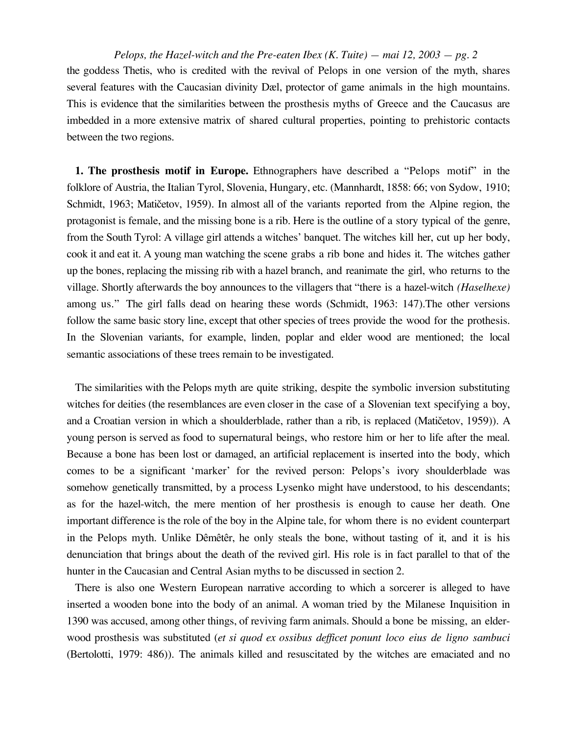*Pelops, the Hazel-witch and the Pre-eaten Ibex (K. Tuite) — mai 12, 2003 — pg. 2* the goddess Thetis, who is credited with the revival of Pelops in one version of the myth, shares several features with the Caucasian divinity Dæl, protector of game animals in the high mountains. This is evidence that the similarities between the prosthesis myths of Greece and the Caucasus are imbedded in a more extensive matrix of shared cultural properties, pointing to prehistoric contacts between the two regions.

**1. The prosthesis motif in Europe.** Ethnographers have described a "Pelops motif" in the folklore of Austria, the Italian Tyrol, Slovenia, Hungary, etc. (Mannhardt, 1858: 66; von Sydow, 1910; Schmidt, 1963; Matičetov, 1959). In almost all of the variants reported from the Alpine region, the protagonist is female, and the missing bone is a rib. Here is the outline of a story typical of the genre, from the South Tyrol: A village girl attends a witches' banquet. The witches kill her, cut up her body, cook it and eat it. A young man watching the scene grabs a rib bone and hides it. The witches gather up the bones, replacing the missing rib with a hazel branch, and reanimate the girl, who returns to the village. Shortly afterwards the boy announces to the villagers that "there is a hazel-witch *(Haselhexe)* among us." The girl falls dead on hearing these words (Schmidt, 1963: 147).The other versions follow the same basic story line, except that other species of trees provide the wood for the prothesis. In the Slovenian variants, for example, linden, poplar and elder wood are mentioned; the local semantic associations of these trees remain to be investigated.

The similarities with the Pelops myth are quite striking, despite the symbolic inversion substituting witches for deities (the resemblances are even closer in the case of a Slovenian text specifying a boy, and a Croatian version in which a shoulderblade, rather than a rib, is replaced (Matičetov, 1959)). A young person is served as food to supernatural beings, who restore him or her to life after the meal. Because a bone has been lost or damaged, an artificial replacement is inserted into the body, which comes to be a significant 'marker' for the revived person: Pelops's ivory shoulderblade was somehow genetically transmitted, by a process Lysenko might have understood, to his descendants; as for the hazel-witch, the mere mention of her prosthesis is enough to cause her death. One important difference is the role of the boy in the Alpine tale, for whom there is no evident counterpart in the Pelops myth. Unlike Dêmêtêr, he only steals the bone, without tasting of it, and it is his denunciation that brings about the death of the revived girl. His role is in fact parallel to that of the hunter in the Caucasian and Central Asian myths to be discussed in section 2.

There is also one Western European narrative according to which a sorcerer is alleged to have inserted a wooden bone into the body of an animal. A woman tried by the Milanese Inquisition in 1390 was accused, among other things, of reviving farm animals. Should a bone be missing, an elderwood prosthesis was substituted (*et si quod ex ossibus defficet ponunt loco eius de ligno sambuci* (Bertolotti, 1979: 486)). The animals killed and resuscitated by the witches are emaciated and no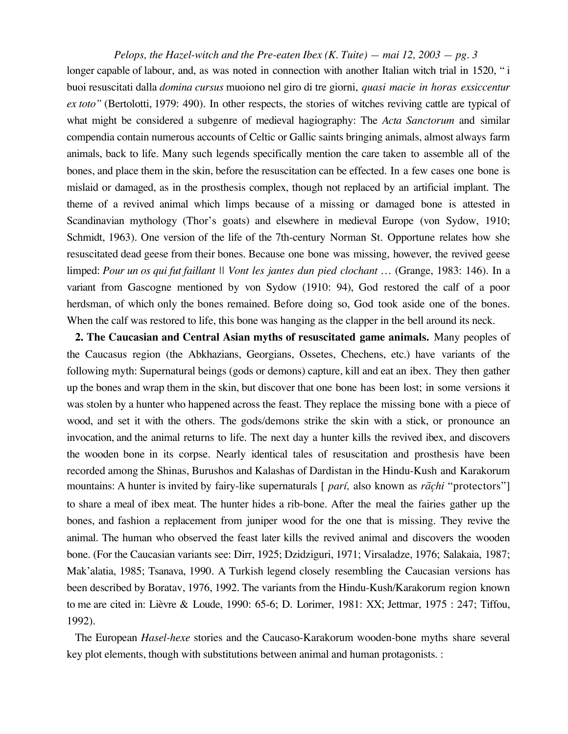*Pelops, the Hazel-witch and the Pre-eaten Ibex (K. Tuite) — mai 12, 2003 — pg. 3* longer capable of labour, and, as was noted in connection with another Italian witch trial in 1520, "*i* buoi resuscitati dalla *domina cursus* muoiono nel giro di tre giorni, *quasi macie in horas exsiccentur ex toto"* (Bertolotti, 1979: 490). In other respects, the stories of witches reviving cattle are typical of what might be considered a subgenre of medieval hagiography: The *Acta Sanctorum* and similar compendia contain numerous accounts of Celtic or Gallic saints bringing animals, almost always farm animals, back to life. Many such legends specifically mention the care taken to assemble all of the bones, and place them in the skin, before the resuscitation can be effected. In a few cases one bone is mislaid or damaged, as in the prosthesis complex, though not replaced by an artificial implant. The theme of a revived animal which limps because of a missing or damaged bone is attested in Scandinavian mythology (Thor's goats) and elsewhere in medieval Europe (von Sydow, 1910; Schmidt, 1963). One version of the life of the 7th-century Norman St. Opportune relates how she resuscitated dead geese from their bones. Because one bone was missing, however, the revived geese limped: *Pour un os qui fut faillant || Vont les jantes dun pied clochant …* (Grange, 1983: 146). In a variant from Gascogne mentioned by von Sydow (1910: 94), God restored the calf of a poor herdsman, of which only the bones remained. Before doing so, God took aside one of the bones. When the calf was restored to life, this bone was hanging as the clapper in the bell around its neck.

**2. The Caucasian and Central Asian myths of resuscitated game animals.** Many peoples of the Caucasus region (the Abkhazians, Georgians, Ossetes, Chechens, etc.) have variants of the following myth: Supernatural beings (gods or demons) capture, kill and eat an ibex. They then gather up the bones and wrap them in the skin, but discover that one bone has been lost; in some versions it was stolen by a hunter who happened across the feast. They replace the missing bone with a piece of wood, and set it with the others. The gods/demons strike the skin with a stick, or pronounce an invocation, and the animal returns to life. The next day a hunter kills the revived ibex, and discovers the wooden bone in its corpse. Nearly identical tales of resuscitation and prosthesis have been recorded among the Shinas, Burushos and Kalashas of Dardistan in the Hindu-Kush and Karakorum mountains: A hunter is invited by fairy-like supernaturals [ *parí*, also known as *rāchi* "protectors"] to share a meal of ibex meat. The hunter hides a rib-bone. After the meal the fairies gather up the bones, and fashion a replacement from juniper wood for the one that is missing. They revive the animal. The human who observed the feast later kills the revived animal and discovers the wooden bone. (For the Caucasian variants see: Dirr, 1925; Dzidziguri, 1971; Virsaladze, 1976; Salakaia, 1987; Mak'alatia, 1985; Tsanava, 1990. A Turkish legend closely resembling the Caucasian versions has been described by Boratav, 1976, 1992. The variants from the Hindu-Kush/Karakorum region known to me are cited in: Lièvre & Loude, 1990: 65-6; D. Lorimer, 1981: XX; Jettmar, 1975 : 247; Tiffou, 1992).

The European *Hasel-hexe* stories and the Caucaso-Karakorum wooden-bone myths share several key plot elements, though with substitutions between animal and human protagonists. :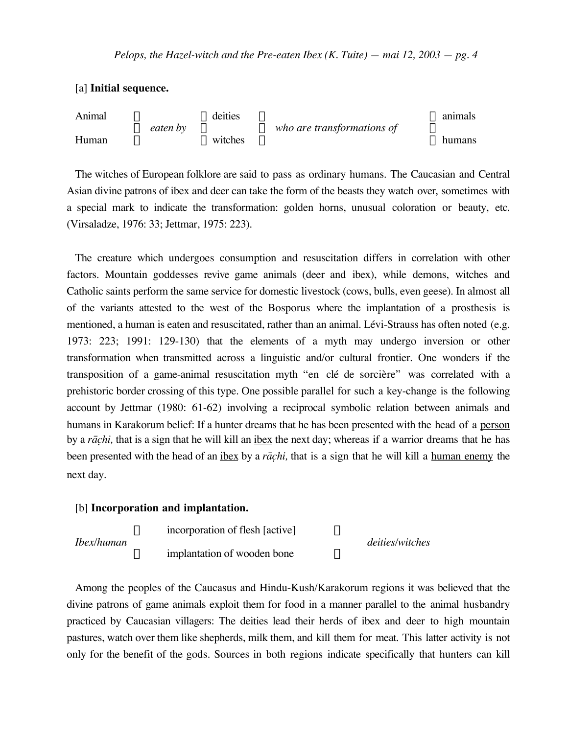[a] **Initial sequence.**



The witches of European folklore are said to pass as ordinary humans. The Caucasian and Central Asian divine patrons of ibex and deer can take the form of the beasts they watch over, sometimes with a special mark to indicate the transformation: golden horns, unusual coloration or beauty, etc. (Virsaladze, 1976: 33; Jettmar, 1975: 223).

The creature which undergoes consumption and resuscitation differs in correlation with other factors. Mountain goddesses revive game animals (deer and ibex), while demons, witches and Catholic saints perform the same service for domestic livestock (cows, bulls, even geese). In almost all of the variants attested to the west of the Bosporus where the implantation of a prosthesis is mentioned, a human is eaten and resuscitated, rather than an animal. Lévi-Strauss has often noted (e.g. 1973: 223; 1991: 129-130) that the elements of a myth may undergo inversion or other transformation when transmitted across a linguistic and/or cultural frontier. One wonders if the transposition of a game-animal resuscitation myth "en clé de sorcière" was correlated with a prehistoric border crossing of this type. One possible parallel for such a key-change is the following account by Jettmar (1980: 61-62) involving a reciprocal symbolic relation between animals and humans in Karakorum belief: If a hunter dreams that he has been presented with the head of a person by a *rāchi*, that is a sign that he will kill an <u>ibex</u> the next day; whereas if a warrior dreams that he has been presented with the head of an <u>ibex</u> by a *rāchi*, that is a sign that he will kill a human enemy the next day.

#### [b] **Incorporation and implantation.**



Among the peoples of the Caucasus and Hindu-Kush/Karakorum regions it was believed that the divine patrons of game animals exploit them for food in a manner parallel to the animal husbandry practiced by Caucasian villagers: The deities lead their herds of ibex and deer to high mountain pastures, watch over them like shepherds, milk them, and kill them for meat. This latter activity is not only for the benefit of the gods. Sources in both regions indicate specifically that hunters can kill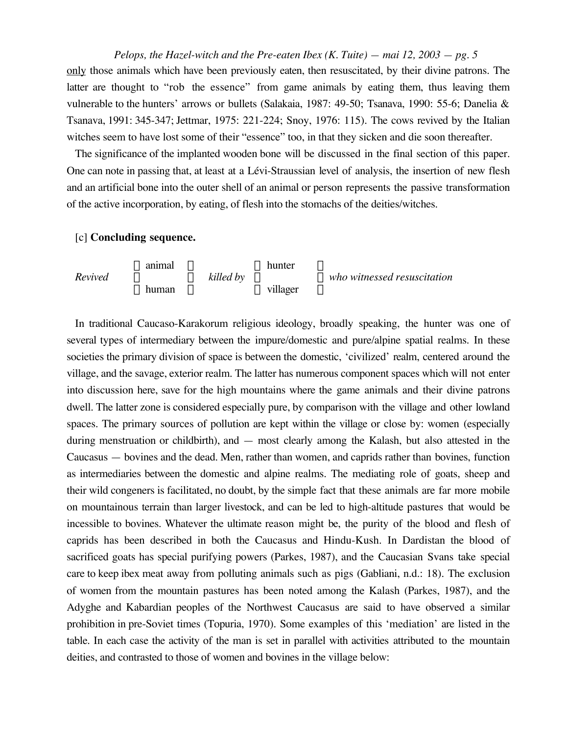*Pelops, the Hazel-witch and the Pre-eaten Ibex (K. Tuite) — mai 12, 2003 — pg. 5* only those animals which have been previously eaten, then resuscitated, by their divine patrons. The latter are thought to "rob the essence" from game animals by eating them, thus leaving them vulnerable to the hunters' arrows or bullets (Salakaia, 1987: 49-50; Tsanava, 1990: 55-6; Danelia & Tsanava, 1991: 345-347; Jettmar, 1975: 221-224; Snoy, 1976: 115). The cows revived by the Italian witches seem to have lost some of their "essence" too, in that they sicken and die soon thereafter.

The significance of the implanted wooden bone will be discussed in the final section of this paper. One can note in passing that, at least at a Lévi-Straussian level of analysis, the insertion of new flesh and an artificial bone into the outer shell of an animal or person represents the passive transformation of the active incorporation, by eating, of flesh into the stomachs of the deities/witches.

### [c] **Concluding sequence.**

Ï animal ¸ Ï hunter ¸ *Revived* Ì ˝ *killed by* Ì ˝ *who witnessed resuscitation* Ó human ˛ Ó villager ˛

In traditional Caucaso-Karakorum religious ideology, broadly speaking, the hunter was one of several types of intermediary between the impure/domestic and pure/alpine spatial realms. In these societies the primary division of space is between the domestic, 'civilized' realm, centered around the village, and the savage, exterior realm. The latter has numerous component spaces which will not enter into discussion here, save for the high mountains where the game animals and their divine patrons dwell. The latter zone is considered especially pure, by comparison with the village and other lowland spaces. The primary sources of pollution are kept within the village or close by: women (especially during menstruation or childbirth), and — most clearly among the Kalash, but also attested in the Caucasus — bovines and the dead. Men, rather than women, and caprids rather than bovines, function as intermediaries between the domestic and alpine realms. The mediating role of goats, sheep and their wild congeners is facilitated, no doubt, by the simple fact that these animals are far more mobile on mountainous terrain than larger livestock, and can be led to high-altitude pastures that would be incessible to bovines. Whatever the ultimate reason might be, the purity of the blood and flesh of caprids has been described in both the Caucasus and Hindu-Kush. In Dardistan the blood of sacrificed goats has special purifying powers (Parkes, 1987), and the Caucasian Svans take special care to keep ibex meat away from polluting animals such as pigs (Gabliani, n.d.: 18). The exclusion of women from the mountain pastures has been noted among the Kalash (Parkes, 1987), and the Adyghe and Kabardian peoples of the Northwest Caucasus are said to have observed a similar prohibition in pre-Soviet times (Topuria, 1970). Some examples of this 'mediation' are listed in the table. In each case the activity of the man is set in parallel with activities attributed to the mountain deities, and contrasted to those of women and bovines in the village below: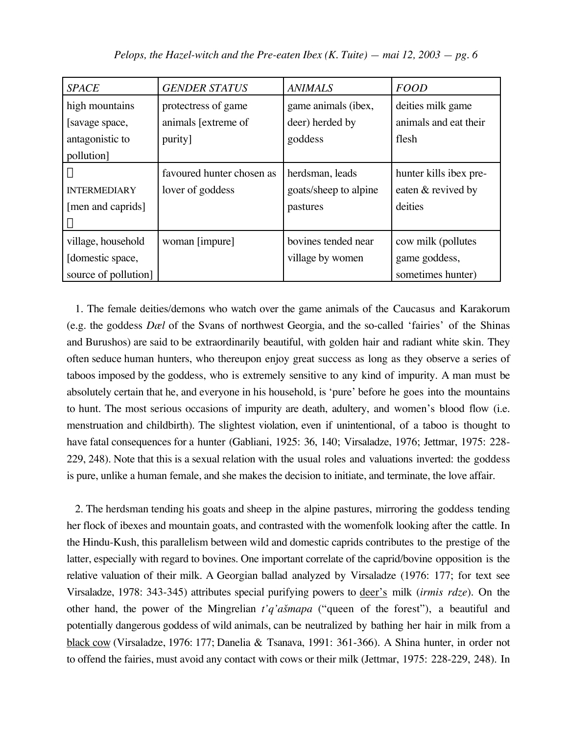| <b>SPACE</b>         | <b>GENDER STATUS</b>      | <b>ANIMALS</b>        | <b>FOOD</b>            |
|----------------------|---------------------------|-----------------------|------------------------|
| high mountains       | protectress of game       | game animals (ibex,   | deities milk game      |
| [savage space,       | animals [extreme of       | deer) herded by       | animals and eat their  |
| antagonistic to      | purity]                   | goddess               | flesh                  |
| pollution]           |                           |                       |                        |
|                      | favoured hunter chosen as | herdsman, leads       | hunter kills ibex pre- |
| <b>INTERMEDIARY</b>  | lover of goddess          | goats/sheep to alpine | eaten & revived by     |
| [men and caprids]    |                           | pastures              | deities                |
|                      |                           |                       |                        |
| village, household   | woman [impure]            | bovines tended near   | cow milk (pollutes     |
| [domestic space,     |                           | village by women      | game goddess,          |
| source of pollution] |                           |                       | sometimes hunter)      |

1. The female deities/demons who watch over the game animals of the Caucasus and Karakorum (e.g. the goddess *Dæl* of the Svans of northwest Georgia, and the so-called 'fairies' of the Shinas and Burushos) are said to be extraordinarily beautiful, with golden hair and radiant white skin. They often seduce human hunters, who thereupon enjoy great success as long as they observe a series of taboos imposed by the goddess, who is extremely sensitive to any kind of impurity. A man must be absolutely certain that he, and everyone in his household, is 'pure' before he goes into the mountains to hunt. The most serious occasions of impurity are death, adultery, and women's blood flow (i.e. menstruation and childbirth). The slightest violation, even if unintentional, of a taboo is thought to have fatal consequences for a hunter (Gabliani, 1925: 36, 140; Virsaladze, 1976; Jettmar, 1975: 228- 229, 248). Note that this is a sexual relation with the usual roles and valuations inverted: the goddess is pure, unlike a human female, and she makes the decision to initiate, and terminate, the love affair.

2. The herdsman tending his goats and sheep in the alpine pastures, mirroring the goddess tending her flock of ibexes and mountain goats, and contrasted with the womenfolk looking after the cattle. In the Hindu-Kush, this parallelism between wild and domestic caprids contributes to the prestige of the latter, especially with regard to bovines. One important correlate of the caprid/bovine opposition is the relative valuation of their milk. A Georgian ballad analyzed by Virsaladze (1976: 177; for text see Virsaladze, 1978: 343-345) attributes special purifying powers to deer's milk (*irmis rdze*). On the other hand, the power of the Mingrelian *t'q'a£mapa* ("queen of the forest"), a beautiful and potentially dangerous goddess of wild animals, can be neutralized by bathing her hair in milk from a black cow (Virsaladze, 1976: 177; Danelia & Tsanava, 1991: 361-366). A Shina hunter, in order not to offend the fairies, must avoid any contact with cows or their milk (Jettmar, 1975: 228-229, 248). In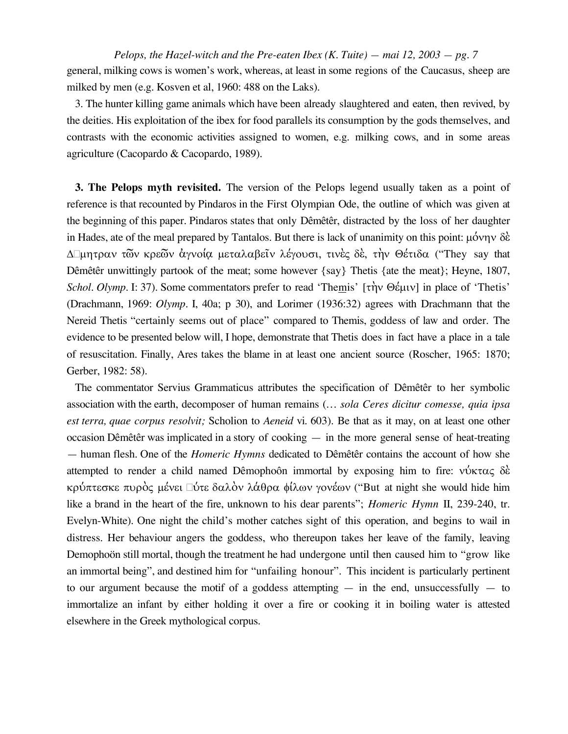Pelops, the Hazel-witch and the Pre-eaten Ibex (K. Tuite) – mai 12, 2003 – pg. 7 general, milking cows is women's work, whereas, at least in some regions of the Caucasus, sheep are milked by men (e.g. Kosven et al, 1960: 488 on the Laks).

3. The hunter killing game animals which have been already slaughtered and eaten, then revived, by the deities. His exploitation of the ibex for food parallels its consumption by the gods themselves, and contrasts with the economic activities assigned to women, e.g. milking cows, and in some areas agriculture (Cacopardo & Cacopardo, 1989).

**3. The Pelops myth revisited.** The version of the Pelops legend usually taken as a point of reference is that recounted by Pindaros in the First Olympian Ode, the outline of which was given at the beginning of this paper. Pindaros states that only Dêmêtêr, distracted by the loss of her daughter in Hades, ate of the meal prepared by Tantalos. But there is lack of unanimity on this point:  $\mu \acute{o} \nu \gamma \nu \delta \grave{\epsilon}$ Δ μητραν τῶν κρεῶν ἀγνοία μεταλαβεῖν λέγουσι, τινὲς δὲ, τὴν Θέτιδα ("They say that Dêmêtêr unwittingly partook of the meat; some however {say} Thetis {ate the meat}; Heyne, 1807, Schol. Olymp. I: 37). Some commentators prefer to read 'Themis' [την Θέμιν] in place of 'Thetis' (Drachmann, 1969: Olymp. I, 40a; p 30), and Lorimer (1936:32) agrees with Drachmann that the Nereid Thetis "certainly seems out of place" compared to Themis, goddess of law and order. The evidence to be presented below will, I hope, demonstrate that Thetis does in fact have a place in a tale of resuscitation. Finally, Ares takes the blame in at least one ancient source (Roscher, 1965: 1870; Gerber, 1982: 58).

The commentator Servius Grammaticus attributes the specification of Dêmêtêr to her symbolic association with the earth, decomposer of human remains (... sola Ceres dicitur comesse, quia ipsa est terra, quae corpus resolvit; Scholion to Aeneid vi. 603). Be that as it may, on at least one other occasion Dêmêtêr was implicated in a story of cooking  $-$  in the more general sense of heat-treating - human flesh. One of the *Homeric Hymns* dedicated to Dêmêtêr contains the account of how she attempted to render a child named Dêmophoôn immortal by exposing him to fire:  $v$  v $x \in \delta$ κρύπτεσκε πυρός μένει ύτε δαλόν λάθρα φίλων γονέων ("But at night she would hide him like a brand in the heart of the fire, unknown to his dear parents"; *Homeric Hymn* II, 239-240, tr. Evelyn-White). One night the child's mother catches sight of this operation, and begins to wail in distress. Her behaviour angers the goddess, who thereupon takes her leave of the family, leaving Demophoön still mortal, though the treatment he had undergone until then caused him to "grow like" an immortal being", and destined him for "unfailing honour". This incident is particularly pertinent to our argument because the motif of a goddess attempting  $-$  in the end, unsuccessfully  $-$  to immortalize an infant by either holding it over a fire or cooking it in boiling water is attested elsewhere in the Greek mythological corpus.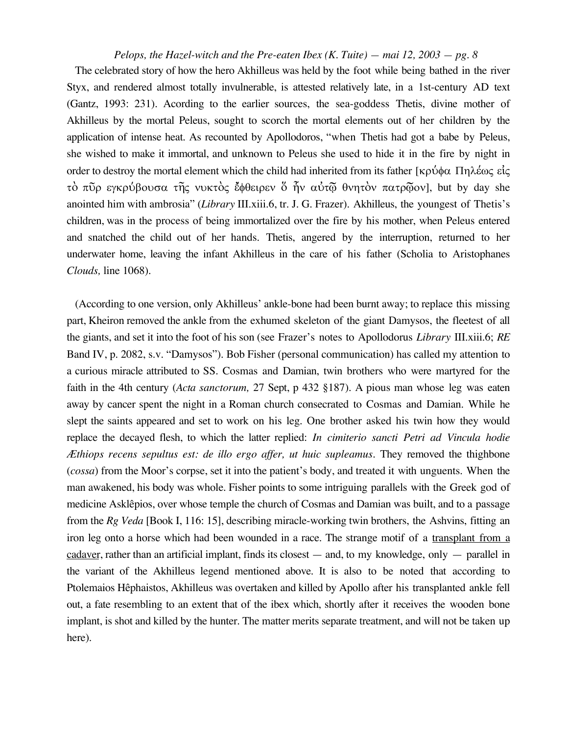The celebrated story of how the hero Akhilleus was held by the foot while being bathed in the river Styx, and rendered almost totally invulnerable, is attested relatively late, in a 1st-century AD text (Gantz, 1993: 231). Acording to the earlier sources, the sea-goddess Thetis, divine mother of Akhilleus by the mortal Peleus, sought to scorch the mortal elements out of her children by the application of intense heat. As recounted by Apollodoros, "when Thetis had got a babe by Peleus, she wished to make it immortal, and unknown to Peleus she used to hide it in the fire by night in order to destroy the mortal element which the child had inherited from its father [ $\kappa \rho \dot{\phi} \phi \alpha$  Πηλέως είς τό πύρ εγκρύβουσα της νυκτός έφθειρεν ὄ ήν αύτώ θνητόν πατρώον], but by day she anointed him with ambrosia" (Library III.xiii.6, tr. J. G. Frazer). Akhilleus, the youngest of Thetis's children, was in the process of being immortalized over the fire by his mother, when Peleus entered and snatched the child out of her hands. Thetis, angered by the interruption, returned to her underwater home, leaving the infant Akhilleus in the care of his father (Scholia to Aristophanes Clouds, line 1068).

(According to one version, only Akhilleus' ankle-bone had been burnt away; to replace this missing part, Kheiron removed the ankle from the exhumed skeleton of the giant Damysos, the fleetest of all the giants, and set it into the foot of his son (see Frazer's notes to Apollodorus Library III.xiii.6; RE Band IV, p. 2082, s.v. "Damysos"). Bob Fisher (personal communication) has called my attention to a curious miracle attributed to SS. Cosmas and Damian, twin brothers who were martyred for the faith in the 4th century (*Acta sanctorum*, 27 Sept, p 432 §187). A pious man whose leg was eaten away by cancer spent the night in a Roman church consecrated to Cosmas and Damian. While he slept the saints appeared and set to work on his leg. One brother asked his twin how they would replace the decayed flesh, to which the latter replied: In cimiterio sancti Petri ad Vincula hodie Æthiops recens sepultus est: de illo ergo affer, ut huic supleamus. They removed the thighbone (cossa) from the Moor's corpse, set it into the patient's body, and treated it with unguents. When the man awakened, his body was whole. Fisher points to some intriguing parallels with the Greek god of medicine Asklêpios, over whose temple the church of Cosmas and Damian was built, and to a passage from the Rg Veda [Book I, 116: 15], describing miracle-working twin brothers, the Ashvins, fitting an iron leg onto a horse which had been wounded in a race. The strange motif of a transplant from a  $\frac{cadaver}{c}$ , rather than an artificial implant, finds its closest  $-$  and, to my knowledge, only  $-$  parallel in the variant of the Akhilleus legend mentioned above. It is also to be noted that according to Ptolemaios Hêphaistos, Akhilleus was overtaken and killed by Apollo after his transplanted ankle fell out, a fate resembling to an extent that of the ibex which, shortly after it receives the wooden bone implant, is shot and killed by the hunter. The matter merits separate treatment, and will not be taken up here).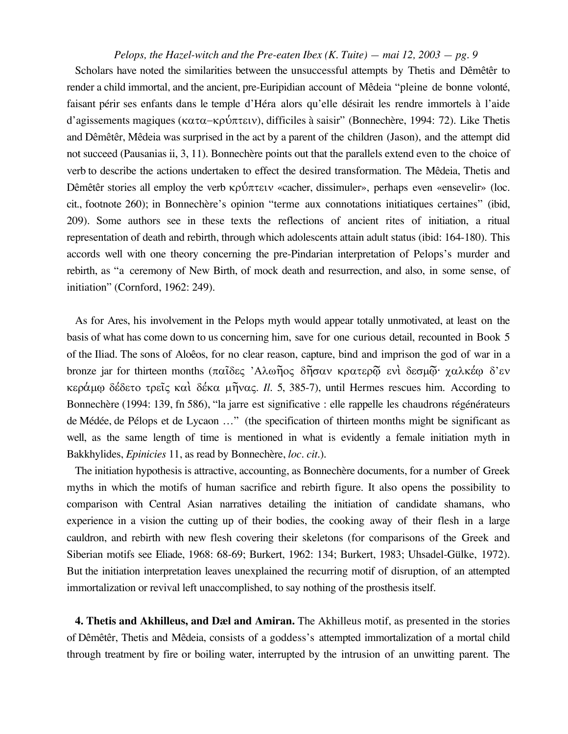Scholars have noted the similarities between the unsuccessful attempts by Thetis and Dêmêtêr to render a child immortal, and the ancient, pre-Euripidian account of Mêdeia "pleine de bonne volonté, faisant périr ses enfants dans le temple d'Héra alors qu'elle désirait les rendre immortels à l'aide d'agissements magiques (κατα-κρύπτειν), difficiles à saisir" (Bonnechère, 1994: 72). Like Thetis and Dêmêtêr, Mêdeia was surprised in the act by a parent of the children (Jason), and the attempt did not succeed (Pausanias ii, 3, 11). Bonnechère points out that the parallels extend even to the choice of verb to describe the actions undertaken to effect the desired transformation. The Mêdeia, Thetis and Dêmêtêr stories all employ the verb  $\kappa \rho \omega \pi \tau \epsilon \nu \kappa$  «cacher, dissimuler», perhaps even «ensevelir» (loc. cit., footnote 260); in Bonnechère's opinion "terme aux connotations initiatiques certaines" (ibid, 209). Some authors see in these texts the reflections of ancient rites of initiation, a ritual representation of death and rebirth, through which adolescents attain adult status (ibid: 164-180). This accords well with one theory concerning the pre-Pindarian interpretation of Pelops's murder and rebirth, as "a ceremony of New Birth, of mock death and resurrection, and also, in some sense, of initiation" (Cornford, 1962: 249).

As for Ares, his involvement in the Pelops myth would appear totally unmotivated, at least on the basis of what has come down to us concerning him, save for one curious detail, recounted in Book 5 of the Iliad. The sons of Aloêos, for no clear reason, capture, bind and imprison the god of war in a bronze jar for thirteen months (παΐδες 'Αλωῆος δῆσαν κρατερῷ ενι δεσμῷ χαλκέφ δ'εν κεράμω δέδετο τρείς και δέκα μήνας. *Il.* 5, 385-7), until Hermes rescues him. According to Bonnechère (1994: 139, fn 586), "la jarre est significative : elle rappelle les chaudrons régénérateurs de Médée, de Pélops et de Lycaon ..." (the specification of thirteen months might be significant as well, as the same length of time is mentioned in what is evidently a female initiation myth in Bakkhylides, *Epinicies* 11, as read by Bonnechère, *loc. cit.*).

The initiation hypothesis is attractive, accounting, as Bonnechère documents, for a number of Greek myths in which the motifs of human sacrifice and rebirth figure. It also opens the possibility to comparison with Central Asian narratives detailing the initiation of candidate shamans, who experience in a vision the cutting up of their bodies, the cooking away of their flesh in a large cauldron, and rebirth with new flesh covering their skeletons (for comparisons of the Greek and Siberian motifs see Eliade, 1968: 68-69; Burkert, 1962: 134; Burkert, 1983; Uhsadel-Gülke, 1972). But the initiation interpretation leaves unexplained the recurring motif of disruption, of an attempted immortalization or revival left unaccomplished, to say nothing of the prosthesis itself.

4. Thetis and Akhilleus, and Dæl and Amiran. The Akhilleus motif, as presented in the stories of Dêmêtêr, Thetis and Mêdeia, consists of a goddess's attempted immortalization of a mortal child through treatment by fire or boiling water, interrupted by the intrusion of an unwitting parent. The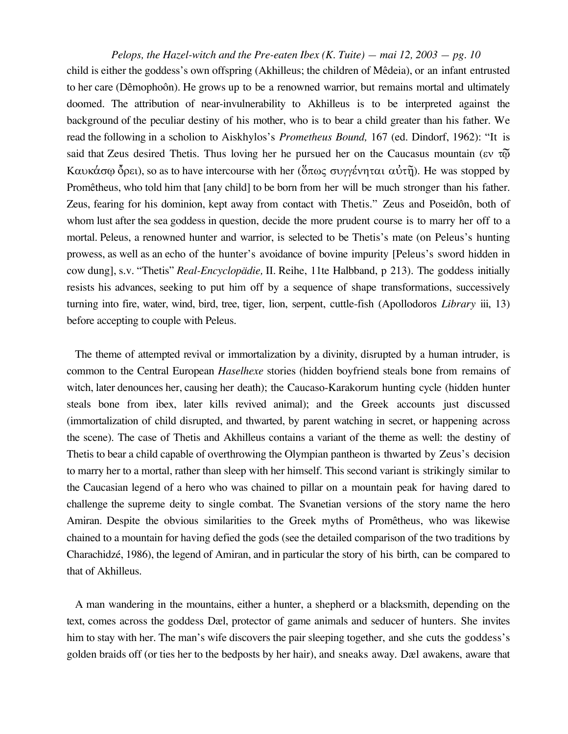*Pelops, the Hazel-witch and the Pre-eaten Ibex (K. Tuite) — mai 12, 2003 — pg. 10* child is either the goddess's own offspring (Akhilleus; the children of Mêdeia), or an infant entrusted to her care (Dêmophoôn). He grows up to be a renowned warrior, but remains mortal and ultimately doomed. The attribution of near-invulnerability to Akhilleus is to be interpreted against the background of the peculiar destiny of his mother, who is to bear a child greater than his father. We read the following in a scholion to Aiskhylos's *Prometheus Bound,* 167 (ed. Dindorf, 1962): "It is said that Zeus desired Thetis. Thus loving her he pursued her on the Caucasus mountain ( $\epsilon v \tau \tilde{\omega}$ ) Kαυκάσφ όρει), so as to have intercourse with her (ὅπως συγγένηται αὐτῆ). He was stopped by Promêtheus, who told him that [any child] to be born from her will be much stronger than his father. Zeus, fearing for his dominion, kept away from contact with Thetis." Zeus and Poseidôn, both of whom lust after the sea goddess in question, decide the more prudent course is to marry her off to a mortal. Peleus, a renowned hunter and warrior, is selected to be Thetis's mate (on Peleus's hunting prowess, as well as an echo of the hunter's avoidance of bovine impurity [Peleus's sword hidden in cow dung], s.v. "Thetis" *Real-Encyclopädie,* II. Reihe, 11te Halbband, p 213). The goddess initially resists his advances, seeking to put him off by a sequence of shape transformations, successively turning into fire, water, wind, bird, tree, tiger, lion, serpent, cuttle-fish (Apollodoros *Library* iii, 13) before accepting to couple with Peleus.

The theme of attempted revival or immortalization by a divinity, disrupted by a human intruder, is common to the Central European *Haselhexe* stories (hidden boyfriend steals bone from remains of witch, later denounces her, causing her death); the Caucaso-Karakorum hunting cycle (hidden hunter steals bone from ibex, later kills revived animal); and the Greek accounts just discussed (immortalization of child disrupted, and thwarted, by parent watching in secret, or happening across the scene). The case of Thetis and Akhilleus contains a variant of the theme as well: the destiny of Thetis to bear a child capable of overthrowing the Olympian pantheon is thwarted by Zeus's decision to marry her to a mortal, rather than sleep with her himself. This second variant is strikingly similar to the Caucasian legend of a hero who was chained to pillar on a mountain peak for having dared to challenge the supreme deity to single combat. The Svanetian versions of the story name the hero Amiran. Despite the obvious similarities to the Greek myths of Promêtheus, who was likewise chained to a mountain for having defied the gods (see the detailed comparison of the two traditions by Charachidzé, 1986), the legend of Amiran, and in particular the story of his birth, can be compared to that of Akhilleus.

A man wandering in the mountains, either a hunter, a shepherd or a blacksmith, depending on the text, comes across the goddess Dæl, protector of game animals and seducer of hunters. She invites him to stay with her. The man's wife discovers the pair sleeping together, and she cuts the goddess's golden braids off (or ties her to the bedposts by her hair), and sneaks away. Dæl awakens, aware that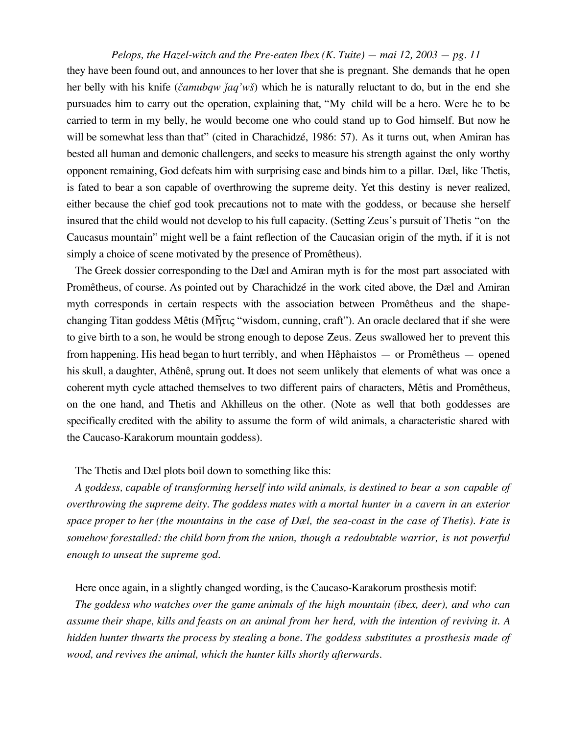they have been found out, and announces to her lover that she is pregnant. She demands that he open her belly with his knife (*čamubqw jaq'wš*) which he is naturally reluctant to do, but in the end she pursuades him to carry out the operation, explaining that, "My child will be a hero. Were he to be carried to term in my belly, he would become one who could stand up to God himself. But now he will be somewhat less than that" (cited in Charachidzé, 1986: 57). As it turns out, when Amiran has bested all human and demonic challengers, and seeks to measure his strength against the only worthy opponent remaining, God defeats him with surprising ease and binds him to a pillar. Dæl, like Thetis, is fated to bear a son capable of overthrowing the supreme deity. Yet this destiny is never realized, either because the chief god took precautions not to mate with the goddess, or because she herself insured that the child would not develop to his full capacity. (Setting Zeus's pursuit of Thetis "on the Caucasus mountain" might well be a faint reflection of the Caucasian origin of the myth, if it is not simply a choice of scene motivated by the presence of Promêtheus).

The Greek dossier corresponding to the Dæl and Amiran myth is for the most part associated with Promêtheus, of course. As pointed out by Charachidzé in the work cited above, the Dæl and Amiran myth corresponds in certain respects with the association between Promêtheus and the shapechanging Titan goddess Mêtis ( $M\tilde{\eta}\tau\iota\zeta$  "wisdom, cunning, craft"). An oracle declared that if she were to give birth to a son, he would be strong enough to depose Zeus. Zeus swallowed her to prevent this from happening. His head began to hurt terribly, and when Hêphaistos — or Promêtheus — opened his skull, a daughter, Athênê, sprung out. It does not seem unlikely that elements of what was once a coherent myth cycle attached themselves to two different pairs of characters, Mêtis and Promêtheus, on the one hand, and Thetis and Akhilleus on the other. (Note as well that both goddesses are specifically credited with the ability to assume the form of wild animals, a characteristic shared with the Caucaso-Karakorum mountain goddess).

### The Thetis and Dæl plots boil down to something like this:

*A goddess, capable of transforming herself into wild animals, is destined to bear a son capable of overthrowing the supreme deity. The goddess mates with a mortal hunter in a cavern in an exterior space proper to her (the mountains in the case of Dæl, the sea-coast in the case of Thetis). Fate is somehow forestalled: the child born from the union, though a redoubtable warrior, is not powerful enough to unseat the supreme god.*

## Here once again, in a slightly changed wording, is the Caucaso-Karakorum prosthesis motif:

*The goddess who watches over the game animals of the high mountain (ibex, deer), and who can assume their shape, kills and feasts on an animal from her herd, with the intention of reviving it. A hidden hunter thwarts the process by stealing a bone. The goddess substitutes a prosthesis made of wood, and revives the animal, which the hunter kills shortly afterwards.*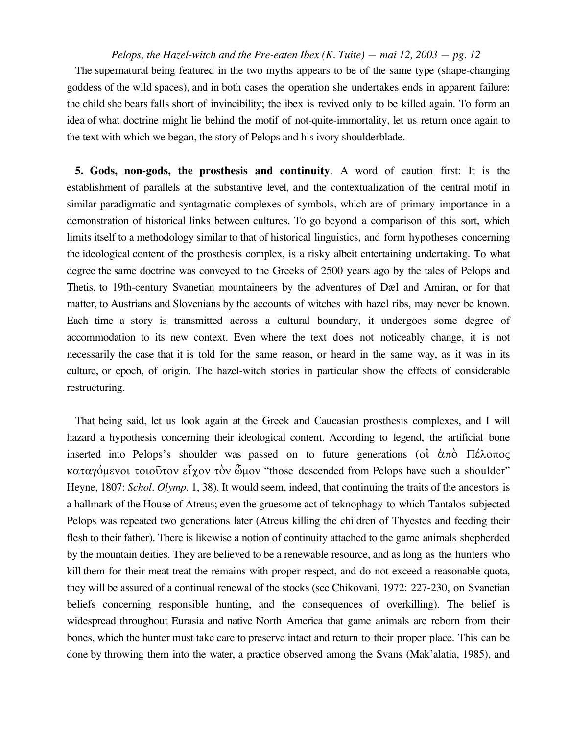The supernatural being featured in the two myths appears to be of the same type (shape-changing goddess of the wild spaces), and in both cases the operation she undertakes ends in apparent failure: the child she bears falls short of invincibility; the ibex is revived only to be killed again. To form an idea of what doctrine might lie behind the motif of not-quite-immortality, let us return once again to the text with which we began, the story of Pelops and his ivory shoulderblade.

**5. Gods, non-gods, the prosthesis and continuity**. A word of caution first: It is the establishment of parallels at the substantive level, and the contextualization of the central motif in similar paradigmatic and syntagmatic complexes of symbols, which are of primary importance in a demonstration of historical links between cultures. To go beyond a comparison of this sort, which limits itself to a methodology similar to that of historical linguistics, and form hypotheses concerning the ideological content of the prosthesis complex, is a risky albeit entertaining undertaking. To what degree the same doctrine was conveyed to the Greeks of 2500 years ago by the tales of Pelops and Thetis, to 19th-century Svanetian mountaineers by the adventures of Dæl and Amiran, or for that matter, to Austrians and Slovenians by the accounts of witches with hazel ribs, may never be known. Each time a story is transmitted across a cultural boundary, it undergoes some degree of accommodation to its new context. Even where the text does not noticeably change, it is not necessarily the case that it is told for the same reason, or heard in the same way, as it was in its culture, or epoch, of origin. The hazel-witch stories in particular show the effects of considerable restructuring.

That being said, let us look again at the Greek and Caucasian prosthesis complexes, and I will hazard a hypothesis concerning their ideological content. According to legend, the artificial bone inserted into Pelops's shoulder was passed on to future generations (of  $\dot{\alpha}\pi\dot{\alpha}$   $\Pi\acute{\epsilon}\lambda\dot{\alpha}\pi\dot{\alpha}$  $\kappa$ αταγόμενοι τοιοῦτον εἶχον τὸν ὦμον "those descended from Pelops have such a shoulder" Heyne, 1807: *Schol. Olymp.* 1, 38). It would seem, indeed, that continuing the traits of the ancestors is a hallmark of the House of Atreus; even the gruesome act of teknophagy to which Tantalos subjected Pelops was repeated two generations later (Atreus killing the children of Thyestes and feeding their flesh to their father). There is likewise a notion of continuity attached to the game animals shepherded by the mountain deities. They are believed to be a renewable resource, and as long as the hunters who kill them for their meat treat the remains with proper respect, and do not exceed a reasonable quota, they will be assured of a continual renewal of the stocks (see Chikovani, 1972: 227-230, on Svanetian beliefs concerning responsible hunting, and the consequences of overkilling). The belief is widespread throughout Eurasia and native North America that game animals are reborn from their bones, which the hunter must take care to preserve intact and return to their proper place. This can be done by throwing them into the water, a practice observed among the Svans (Mak'alatia, 1985), and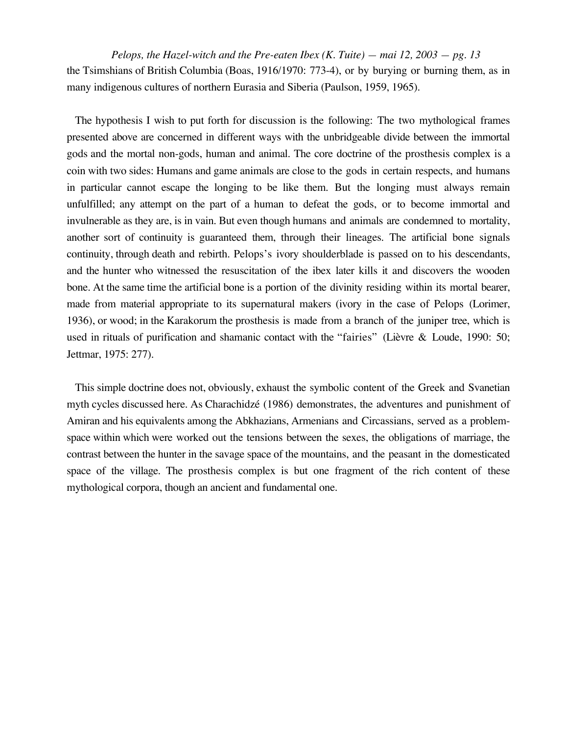*Pelops, the Hazel-witch and the Pre-eaten Ibex (K. Tuite) — mai 12, 2003 — pg. 13* the Tsimshians of British Columbia (Boas, 1916/1970: 773-4), or by burying or burning them, as in many indigenous cultures of northern Eurasia and Siberia (Paulson, 1959, 1965).

The hypothesis I wish to put forth for discussion is the following: The two mythological frames presented above are concerned in different ways with the unbridgeable divide between the immortal gods and the mortal non-gods, human and animal. The core doctrine of the prosthesis complex is a coin with two sides: Humans and game animals are close to the gods in certain respects, and humans in particular cannot escape the longing to be like them. But the longing must always remain unfulfilled; any attempt on the part of a human to defeat the gods, or to become immortal and invulnerable as they are, is in vain. But even though humans and animals are condemned to mortality, another sort of continuity is guaranteed them, through their lineages. The artificial bone signals continuity, through death and rebirth. Pelops's ivory shoulderblade is passed on to his descendants, and the hunter who witnessed the resuscitation of the ibex later kills it and discovers the wooden bone. At the same time the artificial bone is a portion of the divinity residing within its mortal bearer, made from material appropriate to its supernatural makers (ivory in the case of Pelops (Lorimer, 1936), or wood; in the Karakorum the prosthesis is made from a branch of the juniper tree, which is used in rituals of purification and shamanic contact with the "fairies" (Lièvre & Loude, 1990: 50; Jettmar, 1975: 277).

This simple doctrine does not, obviously, exhaust the symbolic content of the Greek and Svanetian myth cycles discussed here. As Charachidzé (1986) demonstrates, the adventures and punishment of Amiran and his equivalents among the Abkhazians, Armenians and Circassians, served as a problemspace within which were worked out the tensions between the sexes, the obligations of marriage, the contrast between the hunter in the savage space of the mountains, and the peasant in the domesticated space of the village. The prosthesis complex is but one fragment of the rich content of these mythological corpora, though an ancient and fundamental one.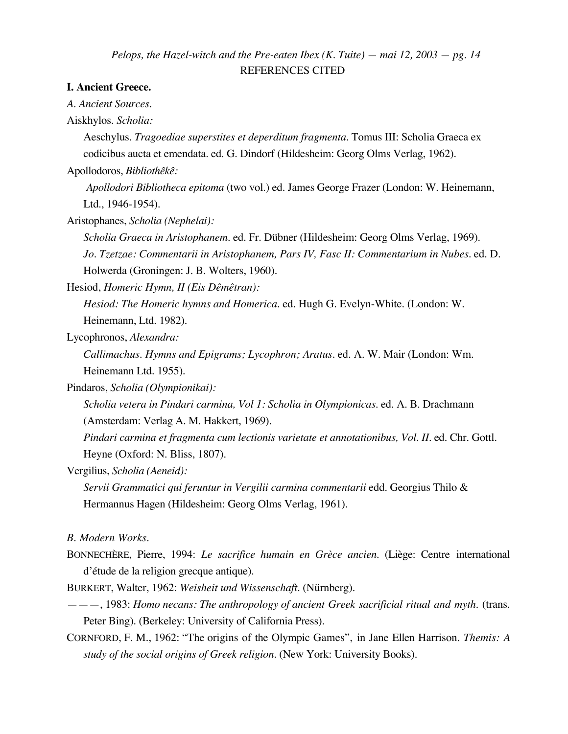## *Pelops, the Hazel-witch and the Pre-eaten Ibex (K. Tuite) — mai 12, 2003 — pg. 14* REFERENCES CITED

## **I. Ancient Greece.**

*A. Ancient Sources.*

Aiskhylos. *Scholia:*

Aeschylus. *Tragoediae superstites et deperditum fragmenta.* Tomus III: Scholia Graeca ex codicibus aucta et emendata. ed. G. Dindorf (Hildesheim: Georg Olms Verlag, 1962).

Apollodoros, *Bibliothêkê:*

*Apollodori Bibliotheca epitoma* (two vol.) ed. James George Frazer (London: W. Heinemann, Ltd., 1946-1954).

Aristophanes, *Scholia (Nephelai):*

*Scholia Graeca in Aristophanem.* ed. Fr. Dübner (Hildesheim: Georg Olms Verlag, 1969). *Jo. Tzetzae: Commentarii in Aristophanem, Pars IV, Fasc II: Commentarium in Nubes.* ed. D. Holwerda (Groningen: J. B. Wolters, 1960).

Hesiod, *Homeric Hymn, II (Eis Dêmêtran):*

*Hesiod: The Homeric hymns and Homerica.* ed. Hugh G. Evelyn-White. (London: W. Heinemann, Ltd. 1982).

Lycophronos, *Alexandra:*

*Callimachus. Hymns and Epigrams; Lycophron; Aratus.* ed. A. W. Mair (London: Wm. Heinemann Ltd. 1955).

Pindaros, *Scholia (Olympionikai):*

*Scholia vetera in Pindari carmina, Vol 1: Scholia in Olympionicas.* ed. A. B. Drachmann (Amsterdam: Verlag A. M. Hakkert, 1969).

*Pindari carmina et fragmenta cum lectionis varietate et annotationibus, Vol. II.* ed. Chr. Gottl. Heyne (Oxford: N. Bliss, 1807).

Vergilius, *Scholia (Aeneid):*

*Servii Grammatici qui feruntur in Vergilii carmina commentarii* edd. Georgius Thilo & Hermannus Hagen (Hildesheim: Georg Olms Verlag, 1961).

*B. Modern Works.*

BONNECHÈRE, Pierre, 1994: *Le sacrifice humain en Grèce ancien.* (Liège: Centre international d'étude de la religion grecque antique).

BURKERT, Walter, 1962: *Weisheit und Wissenschaft.* (Nürnberg).

———, 1983: *Homo necans: The anthropology of ancient Greek sacrificial ritual and myth.* (trans. Peter Bing). (Berkeley: University of California Press).

CORNFORD, F. M., 1962: "The origins of the Olympic Games", in Jane Ellen Harrison. *Themis: A study of the social origins of Greek religion.* (New York: University Books).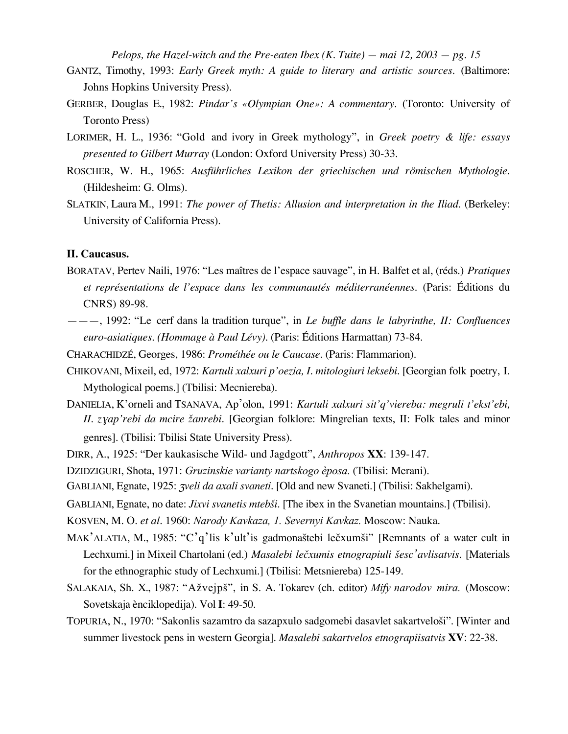- GANTZ, Timothy, 1993: *Early Greek myth: A guide to literary and artistic sources.* (Baltimore: Johns Hopkins University Press).
- GERBER, Douglas E., 1982: *Pindar's «Olympian One»: A commentary.* (Toronto: University of Toronto Press)
- LORIMER, H. L., 1936: "Gold and ivory in Greek mythology", in *Greek poetry & life: essays presented to Gilbert Murray* (London: Oxford University Press) 30-33.
- ROSCHER, W. H., 1965: *Ausführliches Lexikon der griechischen und römischen Mythologie.* (Hildesheim: G. Olms).
- SLATKIN, Laura M., 1991: *The power of Thetis: Allusion and interpretation in the Iliad.* (Berkeley: University of California Press).

## **II. Caucasus.**

- BORATAV, Pertev Naili, 1976: "Les maîtres de l'espace sauvage", in H. Balfet et al, (réds.) *Pratiques et représentations de l'espace dans les communautés méditerranéennes.* (Paris: Éditions du CNRS) 89-98.
- ———, 1992: "Le cerf dans la tradition turque", in *Le buffle dans le labyrinthe, II: Confluences euro-asiatiques. (Hommage à Paul Lévy).* (Paris: Éditions Harmattan) 73-84.
- CHARACHIDZÉ, Georges, 1986: *Prométhée ou le Caucase.* (Paris: Flammarion).
- CHIKOVANI, Mixeil, ed, 1972: *Kartuli xalxuri p'oezia, I. mitologiuri leksebi.* [Georgian folk poetry, I. Mythological poems.] (Tbilisi: Mecniereba).
- DANIELIA, K'orneli and TSANAVA, Ap'olon, 1991: *Kartuli xalxuri sit'q'viereba: megruli t'ekst'ebi, II. z*ƒ*ap'rebi da mcire ¢anrebi.* [Georgian folklore: Mingrelian texts, II: Folk tales and minor genres]. (Tbilisi: Tbilisi State University Press).
- DIRR, A., 1925: "Der kaukasische Wild- und Jagdgott", *Anthropos* **XX**: 139-147.
- DZIDZIGURI, Shota, 1971: *Gruzinskie varianty nartskogo èposa.* (Tbilisi: Merani).
- GABLIANI, Egnate, 1925: *zveli da axali svaneti*. [Old and new Svaneti.] (Tbilisi: Sakhelgami).
- GABLIANI, Egnate, no date: *Jixvi svanetis mtebši*. [The ibex in the Svanetian mountains.] (Tbilisi).
- KOSVEN, M. O. *et al.* 1960: *Narody Kavkaza, 1. Severnyi Kavkaz.* Moscow: Nauka.
- MAK'ALATIA, M., 1985: "C'q'lis k'ult'is gadmonaštebi lečxumši" [Remnants of a water cult in Lechxumi.] in Mixeil Chartolani (ed.) *Masalebi le™xumis etnograpiuli £esc'avlisatvis.* [Materials for the ethnographic study of Lechxumi.] (Tbilisi: Metsniereba) 125-149.
- SALAKAIA, Sh. X., 1987: "Ažvejpš", in S. A. Tokarev (ch. editor) *Mify narodov mira.* (Moscow: Sovetskaja ènciklopedija). Vol **I**: 49-50.
- TOPURIA, N., 1970: "Sakonlis sazamtro da sazapxulo sadgomebi dasavlet sakartveloši". [Winter and summer livestock pens in western Georgia]. *Masalebi sakartvelos etnograpiisatvis* **XV**: 22-38.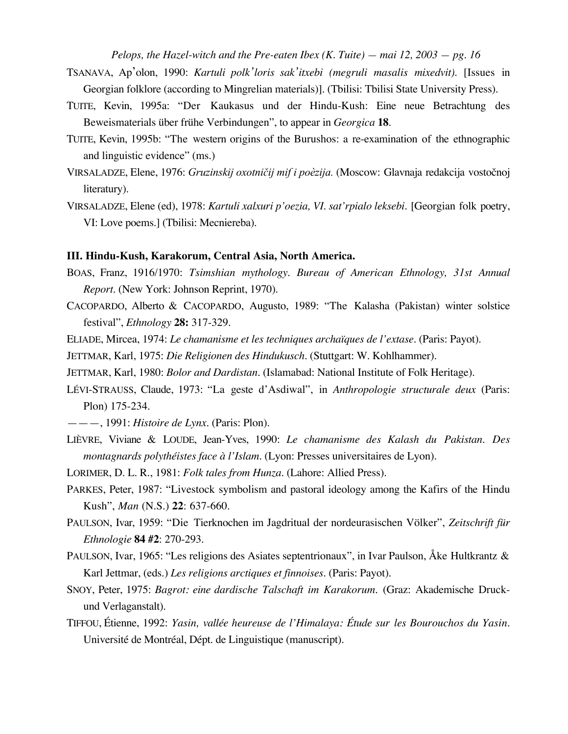- TSANAVA, Ap'olon, 1990: *Kartuli polk'loris sak'itxebi (megruli masalis mixedvit).* [Issues in Georgian folklore (according to Mingrelian materials)]. (Tbilisi: Tbilisi State University Press).
- TUITE, Kevin, 1995a: "Der Kaukasus und der Hindu-Kush: Eine neue Betrachtung des Beweismaterials über frühe Verbindungen", to appear in *Georgica* **18**.
- TUITE, Kevin, 1995b: "The western origins of the Burushos: a re-examination of the ethnographic and linguistic evidence" (ms.)
- VIRSALADZE, Elene, 1976: *Gruzinskij oxotničij mif i poèzija.* (Moscow: Glavnaja redakcija vostočnoj literatury).
- VIRSALADZE, Elene (ed), 1978: *Kartuli xalxuri p'oezia, VI. sat'rpialo leksebi.* [Georgian folk poetry, VI: Love poems.] (Tbilisi: Mecniereba).

### **III. Hindu-Kush, Karakorum, Central Asia, North America.**

- BOAS, Franz, 1916/1970: *Tsimshian mythology*. *Bureau of American Ethnology, 31st Annual Report*. (New York: Johnson Reprint, 1970).
- CACOPARDO, Alberto & CACOPARDO, Augusto, 1989: "The Kalasha (Pakistan) winter solstice festival", *Ethnology* **28:** 317-329.
- ELIADE, Mircea, 1974: *Le chamanisme et les techniques archaïques de l'extase.* (Paris: Payot).
- JETTMAR, Karl, 1975: *Die Religionen des Hindukusch.* (Stuttgart: W. Kohlhammer).
- JETTMAR, Karl, 1980: *Bolor and Dardistan.* (Islamabad: National Institute of Folk Heritage).
- LÉVI-STRAUSS, Claude, 1973: "La geste d'Asdiwal", in *Anthropologie structurale deux* (Paris: Plon) 175-234.
- ———, 1991: *Histoire de Lynx.* (Paris: Plon).
- LIÈVRE, Viviane & LOUDE, Jean-Yves, 1990: *Le chamanisme des Kalash du Pakistan. Des montagnards polythéistes face à l'Islam.* (Lyon: Presses universitaires de Lyon).
- LORIMER, D. L. R., 1981: *Folk tales from Hunza.* (Lahore: Allied Press).
- PARKES, Peter, 1987: "Livestock symbolism and pastoral ideology among the Kafirs of the Hindu Kush", *Man* (N.S.) **22**: 637-660.
- PAULSON, Ivar, 1959: "Die Tierknochen im Jagdritual der nordeurasischen Völker", *Zeitschrift für Ethnologie* **84 #2**: 270-293.
- PAULSON, Ivar, 1965: "Les religions des Asiates septentrionaux", in Ivar Paulson, Åke Hultkrantz & Karl Jettmar, (eds.) *Les religions arctiques et finnoises.* (Paris: Payot).
- SNOY, Peter, 1975: *Bagrot: eine dardische Talschaft im Karakorum.* (Graz: Akademische Druckund Verlaganstalt).
- TIFFOU, Étienne, 1992: *Yasin, vallée heureuse de l'Himalaya: Étude sur les Bourouchos du Yasin.* Université de Montréal, Dépt. de Linguistique (manuscript).